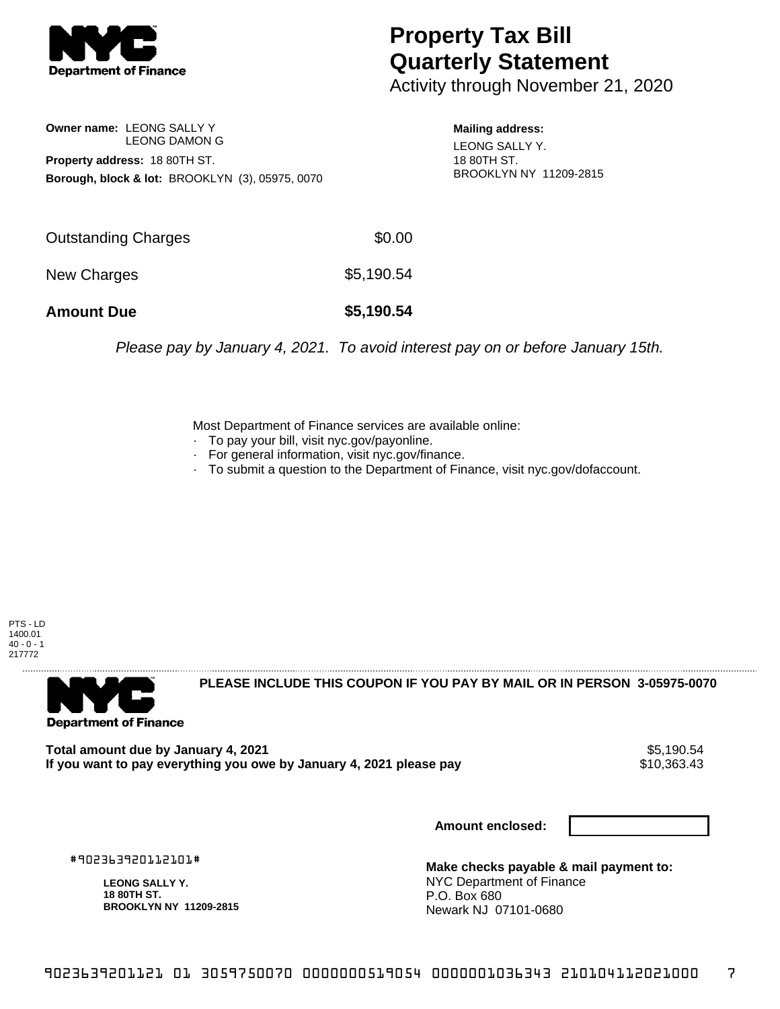

## **Property Tax Bill Quarterly Statement**

Activity through November 21, 2020

**Owner name:** LEONG SALLY Y LEONG DAMON G **Property address:** 18 80TH ST. **Borough, block & lot:** BROOKLYN (3), 05975, 0070 **Mailing address:** LEONG SALLY Y. 18 80TH ST. BROOKLYN NY 11209-2815

| <b>Amount Due</b>   | \$5,190.54 |
|---------------------|------------|
| New Charges         | \$5,190.54 |
| Outstanding Charges | \$0.00     |

Please pay by January 4, 2021. To avoid interest pay on or before January 15th.

Most Department of Finance services are available online:

- · To pay your bill, visit nyc.gov/payonline.
- For general information, visit nyc.gov/finance.
- · To submit a question to the Department of Finance, visit nyc.gov/dofaccount.



**Department of Finance** 

**PLEASE INCLUDE THIS COUPON IF YOU PAY BY MAIL OR IN PERSON 3-05975-0070** 

**Total amount due by January 4, 2021**<br>If you want to pay everything you owe by January 4, 2021 please pay **strategy of the Santa August** \$10,363.43 If you want to pay everything you owe by January 4, 2021 please pay

**Amount enclosed:**

#902363920112101#

**LEONG SALLY Y. 18 80TH ST. BROOKLYN NY 11209-2815**

**Make checks payable & mail payment to:** NYC Department of Finance P.O. Box 680 Newark NJ 07101-0680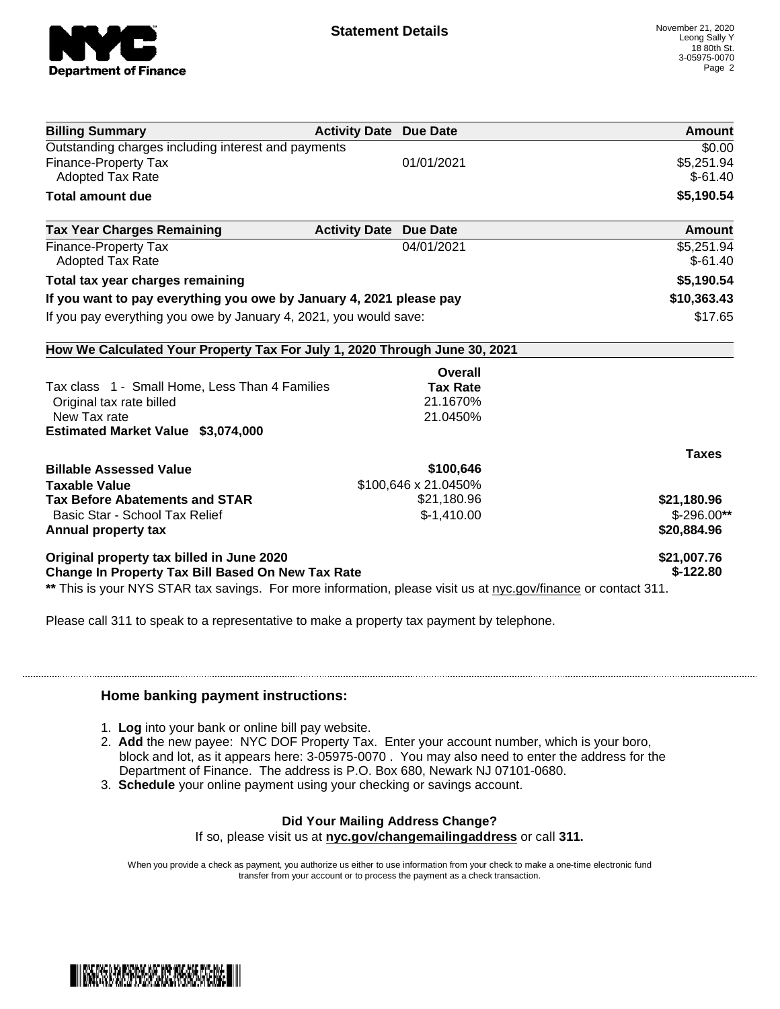

| <b>Billing Summary</b>                                                     | <b>Activity Date Due Date</b>           |                 | Amount        |
|----------------------------------------------------------------------------|-----------------------------------------|-----------------|---------------|
| Outstanding charges including interest and payments                        |                                         |                 | \$0.00        |
| Finance-Property Tax                                                       | 01/01/2021                              |                 | \$5,251.94    |
| <b>Adopted Tax Rate</b>                                                    |                                         |                 | $$-61.40$     |
| <b>Total amount due</b>                                                    |                                         |                 | \$5,190.54    |
| <b>Tax Year Charges Remaining</b>                                          | <b>Activity Date</b><br><b>Due Date</b> |                 | <b>Amount</b> |
| Finance-Property Tax                                                       |                                         | 04/01/2021      | \$5,251.94    |
| Adopted Tax Rate                                                           |                                         |                 | $$-61.40$     |
| Total tax year charges remaining                                           |                                         |                 | \$5,190.54    |
| If you want to pay everything you owe by January 4, 2021 please pay        |                                         |                 | \$10,363.43   |
| If you pay everything you owe by January 4, 2021, you would save:          |                                         | \$17.65         |               |
| How We Calculated Your Property Tax For July 1, 2020 Through June 30, 2021 |                                         |                 |               |
|                                                                            |                                         | <b>Overall</b>  |               |
| Tax class 1 - Small Home, Less Than 4 Families                             |                                         | <b>Tax Rate</b> |               |
| Original tax rate billed                                                   |                                         | 21.1670%        |               |
| New Tax rate                                                               |                                         | 21.0450%        |               |
| Estimated Market Value \$3,074,000                                         |                                         |                 |               |
|                                                                            |                                         |                 | <b>Taxes</b>  |
| <b>Billable Assessed Value</b>                                             |                                         | \$100,646       |               |
| <b>Taxable Value</b>                                                       | \$100,646 x 21.0450%                    |                 |               |
| <b>Tax Before Abatements and STAR</b>                                      |                                         | \$21,180.96     | \$21,180.96   |
| Basic Star - School Tax Relief                                             |                                         | $$-1,410.00$    | $$-296.00**$  |
| Annual property tax                                                        |                                         |                 | \$20,884.96   |
| Original property tax billed in June 2020                                  |                                         |                 | \$21,007.76   |
| <b>Change In Property Tax Bill Based On New Tax Rate</b>                   |                                         |                 | $$-122.80$    |

Please call 311 to speak to a representative to make a property tax payment by telephone.

## **Home banking payment instructions:**

- 1. **Log** into your bank or online bill pay website.
- 2. **Add** the new payee: NYC DOF Property Tax. Enter your account number, which is your boro, block and lot, as it appears here: 3-05975-0070 . You may also need to enter the address for the Department of Finance. The address is P.O. Box 680, Newark NJ 07101-0680.
- 3. **Schedule** your online payment using your checking or savings account.

## **Did Your Mailing Address Change?**

If so, please visit us at **nyc.gov/changemailingaddress** or call **311.**

When you provide a check as payment, you authorize us either to use information from your check to make a one-time electronic fund transfer from your account or to process the payment as a check transaction.